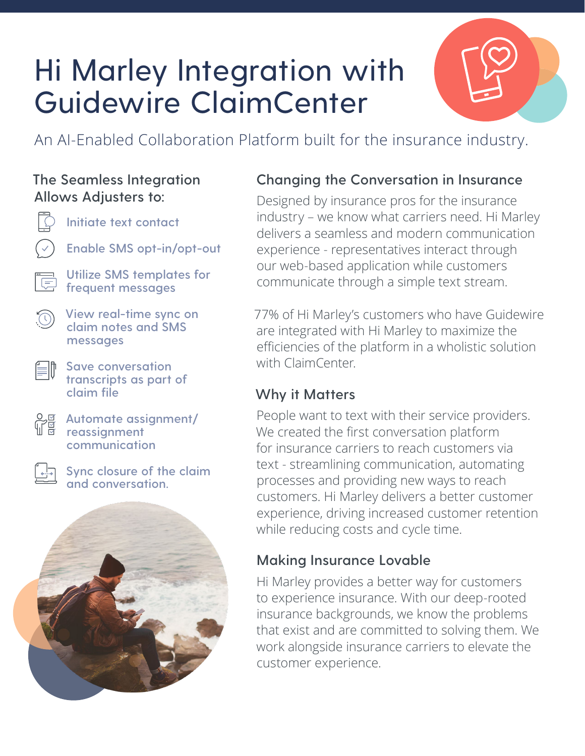# Hi Marley Integration with Guidewire ClaimCenter



An AI-Enabled Collaboration Platform built for the insurance industry.

#### **The Seamless Integration Allows Adjusters to:**



**Initiate text contact**

**Enable SMS opt-in/opt-out**

**Utilize SMS templates for frequent messages**



í≡II

**View real-time sync on claim notes and SMS messages**

**Save conversation transcripts as part of claim file**

**Automate assignment/ reassignment communication**

**Sync closure of the claim and conversation.**



#### **Changing the Conversation in Insurance**

Designed by insurance pros for the insurance industry – we know what carriers need. Hi Marley delivers a seamless and modern communication experience - representatives interact through our web-based application while customers communicate through a simple text stream.

77% of Hi Marley's customers who have Guidewire are integrated with Hi Marley to maximize the efficiencies of the platform in a wholistic solution with ClaimCenter.

#### **Why it Matters**

People want to text with their service providers. We created the first conversation platform for insurance carriers to reach customers via text - streamlining communication, automating processes and providing new ways to reach customers. Hi Marley delivers a better customer experience, driving increased customer retention while reducing costs and cycle time.

### **Making Insurance Lovable**

Hi Marley provides a better way for customers to experience insurance. With our deep-rooted insurance backgrounds, we know the problems that exist and are committed to solving them. We work alongside insurance carriers to elevate the customer experience.